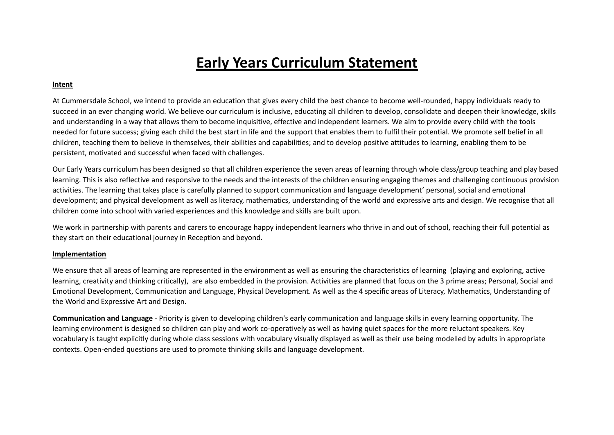## **Early Years Curriculum Statement**

## **Intent**

At Cummersdale School, we intend to provide an education that gives every child the best chance to become well-rounded, happy individuals ready to succeed in an ever changing world. We believe our curriculum is inclusive, educating all children to develop, consolidate and deepen their knowledge, skills and understanding in a way that allows them to become inquisitive, effective and independent learners. We aim to provide every child with the tools needed for future success; giving each child the best start in life and the support that enables them to fulfil their potential. We promote self belief in all children, teaching them to believe in themselves, their abilities and capabilities; and to develop positive attitudes to learning, enabling them to be persistent, motivated and successful when faced with challenges.

Our Early Years curriculum has been designed so that all children experience the seven areas of learning through whole class/group teaching and play based learning. This is also reflective and responsive to the needs and the interests of the children ensuring engaging themes and challenging continuous provision activities. The learning that takes place is carefully planned to support communication and language development' personal, social and emotional development; and physical development as well as literacy, mathematics, understanding of the world and expressive arts and design. We recognise that all children come into school with varied experiences and this knowledge and skills are built upon.

We work in partnership with parents and carers to encourage happy independent learners who thrive in and out of school, reaching their full potential as they start on their educational journey in Reception and beyond.

## **Implementation**

We ensure that all areas of learning are represented in the environment as well as ensuring the characteristics of learning (playing and exploring, active learning, creativity and thinking critically), are also embedded in the provision. Activities are planned that focus on the 3 prime areas; Personal, Social and Emotional Development, Communication and Language, Physical Development. As well as the 4 specific areas of Literacy, Mathematics, Understanding of the World and Expressive Art and Design.

**Communication and Language** - Priority is given to developing children's early communication and language skills in every learning opportunity. The learning environment is designed so children can play and work co-operatively as well as having quiet spaces for the more reluctant speakers. Key vocabulary is taught explicitly during whole class sessions with vocabulary visually displayed as well as their use being modelled by adults in appropriate contexts. Open-ended questions are used to promote thinking skills and language development.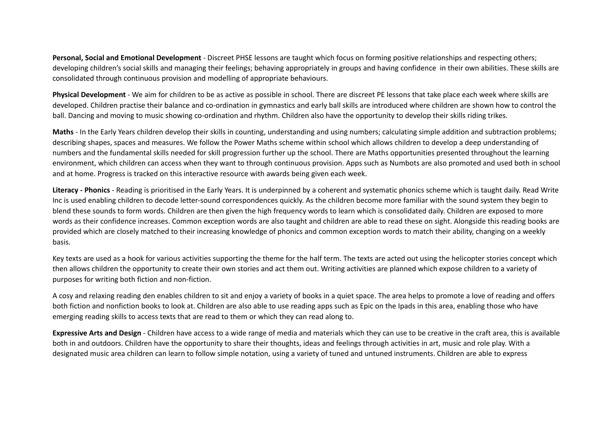**Personal, Social and Emotional Development** - Discreet PHSE lessons are taught which focus on forming positive relationships and respecting others; developing children's social skills and managing their feelings; behaving appropriately in groups and having confidence in their own abilities. These skills are consolidated through continuous provision and modelling of appropriate behaviours.

**Physical Development** - We aim for children to be as active as possible in school. There are discreet PE lessons that take place each week where skills are developed. Children practise their balance and co-ordination in gymnastics and early ball skills are introduced where children are shown how to control the ball. Dancing and moving to music showing co-ordination and rhythm. Children also have the opportunity to develop their skills riding trikes.

**Maths** - In the Early Years children develop their skills in counting, understanding and using numbers; calculating simple addition and subtraction problems; describing shapes, spaces and measures. We follow the Power Maths scheme within school which allows children to develop a deep understanding of numbers and the fundamental skills needed for skill progression further up the school. There are Maths opportunities presented throughout the learning environment, which children can access when they want to through continuous provision. Apps such as Numbots are also promoted and used both in school and at home. Progress is tracked on this interactive resource with awards being given each week.

**Literacy - Phonics** - Reading is prioritised in the Early Years. It is underpinned by a coherent and systematic phonics scheme which is taught daily. Read Write Inc is used enabling children to decode letter-sound correspondences quickly. As the children become more familiar with the sound system they begin to blend these sounds to form words. Children are then given the high frequency words to learn which is consolidated daily. Children are exposed to more words as their confidence increases. Common exception words are also taught and children are able to read these on sight. Alongside this reading books are provided which are closely matched to their increasing knowledge of phonics and common exception words to match their ability, changing on a weekly basis.

Key texts are used as a hook for various activities supporting the theme for the half term. The texts are acted out using the helicopter stories concept which then allows children the opportunity to create their own stories and act them out. Writing activities are planned which expose children to a variety of purposes for writing both fiction and non-fiction.

A cosy and relaxing reading den enables children to sit and enjoy a variety of books in a quiet space. The area helps to promote a love of reading and offers both fiction and nonfiction books to look at. Children are also able to use reading apps such as Epic on the Ipads in this area, enabling those who have emerging reading skills to access texts that are read to them or which they can read along to.

**Expressive Arts and Design** - Children have access to a wide range of media and materials which they can use to be creative in the craft area, this is available both in and outdoors. Children have the opportunity to share their thoughts, ideas and feelings through activities in art, music and role play. With a designated music area children can learn to follow simple notation, using a variety of tuned and untuned instruments. Children are able to express